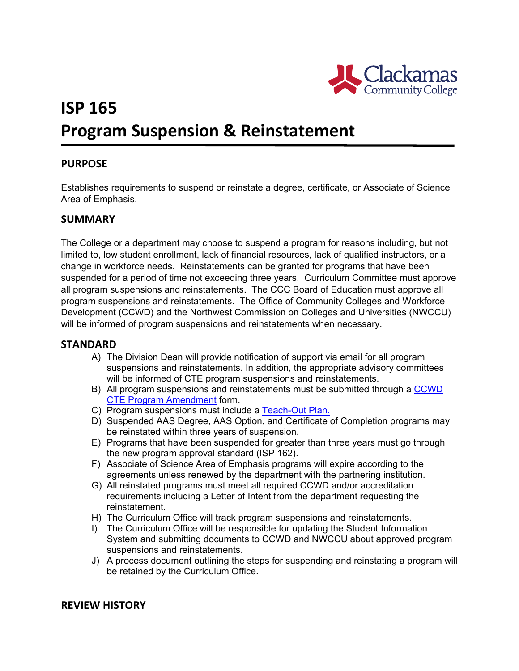

# **ISP 165 Program Suspension & Reinstatement**

## **PURPOSE**

Establishes requirements to suspend or reinstate a degree, certificate, or Associate of Science Area of Emphasis.

### **SUMMARY**

The College or a department may choose to suspend a program for reasons including, but not limited to, low student enrollment, lack of financial resources, lack of qualified instructors, or a change in workforce needs. Reinstatements can be granted for programs that have been suspended for a period of time not exceeding three years. Curriculum Committee must approve all program suspensions and reinstatements. The CCC Board of Education must approve all program suspensions and reinstatements. The Office of Community Colleges and Workforce Development (CCWD) and the Northwest Commission on Colleges and Universities (NWCCU) will be informed of program suspensions and reinstatements when necessary.

### **STANDARD**

- A) The Division Dean will provide notification of support via email for all program suspensions and reinstatements. In addition, the appropriate advisory committees will be informed of CTE program suspensions and reinstatements.
- B) All program suspensions and reinstatements must be submitted through a [CCWD](file://clackamas.edu/Data/Depts/Curriculum%20Office/New%20Programs%20Checklist%20Project/CCWD%20Forms/Program%20Amendment%20Form.rtf)  [CTE Program Amendment](file://clackamas.edu/Data/Depts/Curriculum%20Office/New%20Programs%20Checklist%20Project/CCWD%20Forms/Program%20Amendment%20Form.rtf) form.
- C) Program suspensions must include a [Teach-Out Plan.](http://www2.clackamas.edu/committees/cc/meetings/AdditionalDocuments/NWCCU%20Teach-Out%20Plan.pdf)
- D) Suspended AAS Degree, AAS Option, and Certificate of Completion programs may be reinstated within three years of suspension.
- E) Programs that have been suspended for greater than three years must go through the new program approval standard (ISP 162).
- F) Associate of Science Area of Emphasis programs will expire according to the agreements unless renewed by the department with the partnering institution.
- G) All reinstated programs must meet all required CCWD and/or accreditation requirements including a Letter of Intent from the department requesting the reinstatement.
- H) The Curriculum Office will track program suspensions and reinstatements.
- I) The Curriculum Office will be responsible for updating the Student Information System and submitting documents to CCWD and NWCCU about approved program suspensions and reinstatements.
- J) A process document outlining the steps for suspending and reinstating a program will be retained by the Curriculum Office.

### **REVIEW HISTORY**